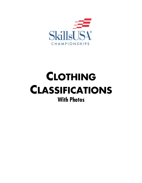

# **CLOTHING CLASSIFICATIONS With Photos**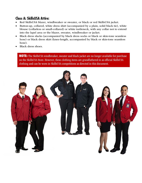## **Class A: SkillsUSA Attire:**

- Red SkillsUSA blazer, windbreaker or sweater, or black or red SkillsUSA jacket.
- Button-up, collared, white dress shirt (accompanied by a plain, solid black tie), white blouse (collarless or small-collared) or white turtleneck, with any collar not to extend into the lapel area or the blazer, sweater, windbreaker or jacket.
- Black dress slacks (accompanied by black dress socks or black or skin-tone seamless hose) or black dress skirt (knee-length, accompanied by black or skin-tone seamless hose).
- Black dress shoes.

NOTE: The SkillsUSA windbreaker, sweater and black jacket are no longer available for purchase on the SkillsUSA Store. However, these clothing items are grandfathered in as official SkillsUSA clothing and can be worn in SkillsUSA competitions as directed in this document.

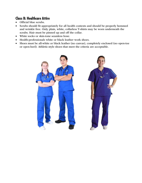#### **Class B: Healthcare Attire**

- Official blue scrubs.
- Scrubs should fit appropriately for all health contests and should be properly hemmed and wrinkle free. Only plain, white, collarless T-shirts may be worn underneath the scrubs. Hair must be pinned up and off the collar.
- White socks or skin-tone seamless hose.
- Health-professionals white or black leather work shoes.
- Shoes must be all-white or black leather (no canvas), completely enclosed (no open-toe or open-heel). Athletic-style shoes that meet the criteria are acceptable.

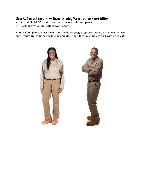#### **Class C: Contest Specific — Manufacturing/Construction Khaki Attire**

- Official SkillsUSA khaki short-sleeve work shirt and pants.
- Black, brown or tan leather work shoes.

*Note:* Safety glasses must have side shields or goggles (prescription glasses may be used only if they are equipped with side shields. If not, they must be covered with goggles).

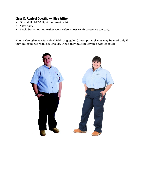## **Class D: Contest Specific — Blue Attire**

- Official SkillsUSA light blue work shirt.
- Navy pants.
- Black, brown or tan leather work safety shoes (with protective toe cap).

*Note:* Safety glasses with side shields or goggles (prescription glasses may be used only if they are equipped with side shields. If not, they must be covered with goggles).

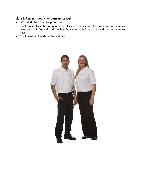## **Class E: Contest specific — Business Casual**

- Official SkillsUSA white polo shirt.
- Black dress slacks (accompanied by black dress socks or black or skin-tone seamless hose) or black dress skirt (knee-length, accompanied by black or skin-tone seamless hose).
- Black leather closed-toe dress shoes.

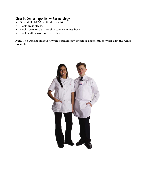### **Class F: Contest Specific — Cosmetology**

- Official SkillsUSA white dress shirt.
- Black dress slacks.
- Black socks or black or skin-tone seamless hose.
- Black leather work or dress shoes.

*Note:* The Official SkillsUSA white cosmetology smock or apron can be worn with the white dress shirt.

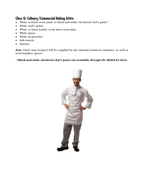#### **Class G: Culinary/Commercial Baking Attire**

- White or black work pants or black-and-white checkered chef's pants.\*
- White chef's jacket.
- White or black leather work shoes (non-slip).
- White apron.
- White neckerchief.
- Side-towels.
- Hairnet.

*Note:* Chef's hats (toques) will be supplied by the national technical committee, as well as food handlers' gloves.

*\* Black-and-white checkered chef's pants not available through the SkillsUSA Store.*

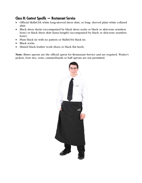## **Class H: Contest Specific — Restaurant Service**

- Official SkillsUSA white long-sleeved dress shirt, or long- sleeved plain white collared shirt.
- Black dress slacks (accompanied by black dress socks or black or skin-tone seamless hose) or black dress skirt (knee-length) (accompanied by black or skin-tone seamless hose).
- Plain black tie with no pattern or SkillsUSA black tie.
- Black socks.
- Shined black leather work shoes or black flat heels.

Note: Bistro aprons are the official apron for Restaurant Service and are required. Waiter's jackets, bow ties, vests, cummerbunds or half aprons are not permitted.